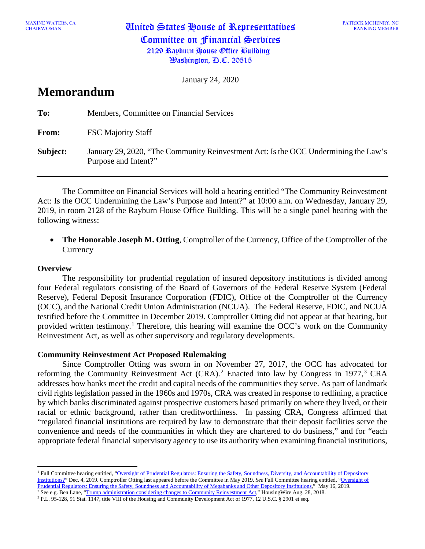MAXINE WATERS, CA **United States House of Representatives** Committee on Financial Services 2129 Rayburn House Office Building  $\mathcal{B}$ ashington,  $\mathcal{B}$ .C. 20515

PATRICK MCHENRY, NC RANKING MEMBER

January 24, 2020

# **Memorandum**

| To:      | Members, Committee on Financial Services                                                                    |
|----------|-------------------------------------------------------------------------------------------------------------|
| From:    | <b>FSC Majority Staff</b>                                                                                   |
| Subject: | January 29, 2020, "The Community Reinvestment Act: Is the OCC Undermining the Law's<br>Purpose and Intent?" |

The Committee on Financial Services will hold a hearing entitled "The Community Reinvestment Act: Is the OCC Undermining the Law's Purpose and Intent?" at 10:00 a.m. on Wednesday, January 29, 2019, in room 2128 of the Rayburn House Office Building. This will be a single panel hearing with the following witness:

• **The Honorable Joseph M. Otting**, Comptroller of the Currency, Office of the Comptroller of the **Currency** 

## **Overview**

 $\overline{a}$ 

The responsibility for prudential regulation of insured depository institutions is divided among four Federal regulators consisting of the Board of Governors of the Federal Reserve System (Federal Reserve), Federal Deposit Insurance Corporation (FDIC), Office of the Comptroller of the Currency (OCC), and the National Credit Union Administration (NCUA). The Federal Reserve, FDIC, and NCUA testified before the Committee in December 2019. Comptroller Otting did not appear at that hearing, but provided written testimony.<sup>[1](#page-0-0)</sup> Therefore, this hearing will examine the OCC's work on the Community Reinvestment Act, as well as other supervisory and regulatory developments.

# **Community Reinvestment Act Proposed Rulemaking**

Since Comptroller Otting was sworn in on November 27, 2017, the OCC has advocated for reforming the Community Reinvestment Act  $(CRA)$ .<sup>[2](#page-0-1)</sup> Enacted into law by Congress in 1977,<sup>[3](#page-0-2)</sup> CRA addresses how banks meet the credit and capital needs of the communities they serve. As part of landmark civil rights legislation passed in the 1960s and 1970s, CRA was created in response to redlining, a practice by which banks discriminated against prospective customers based primarily on where they lived, or their racial or ethnic background, rather than creditworthiness. In passing CRA, Congress affirmed that "regulated financial institutions are required by law to demonstrate that their deposit facilities serve the convenience and needs of the communities in which they are chartered to do business," and for "each appropriate federal financial supervisory agency to use its authority when examining financial institutions,

<span id="page-0-0"></span><sup>&</sup>lt;sup>1</sup> Full Committee hearing entitled, "Oversight of Prudential Regulators: Ensuring the Safety, Soundness, Diversity, and Accountability of Depository [Institutions?"](https://financialservices.house.gov/calendar/eventsingle.aspx?EventID=404855) Dec. 4, 2019. Comptroller Otting last appeared before the Committee in May 2019. *See* Full Committee hearing entitled, ["Oversight of](https://financialservices.house.gov/calendar/eventsingle.aspx?EventID=403653)  [Prudential Regulators: Ensuring the Safety, Soundness and Accountability of Megabanks and Other Depository Institutions,](https://financialservices.house.gov/calendar/eventsingle.aspx?EventID=403653)" May 16, 2019.

<span id="page-0-2"></span><span id="page-0-1"></span><sup>&</sup>lt;sup>2</sup> See e.g. Ben Lane, ["Trump administration considering changes to Community Reinvestment Act,](https://www.housingwire.com/articles/46620-trump-administration-considering-changes-to-community-reinvestment-act/)" HousingWire Aug. 28, 2018.

<sup>&</sup>lt;sup>3</sup> P.L. 95-128, 91 Stat. 1147, title VIII of the Housing and Community Development Act of 1977, 12 U.S.C. § 2901 et seq.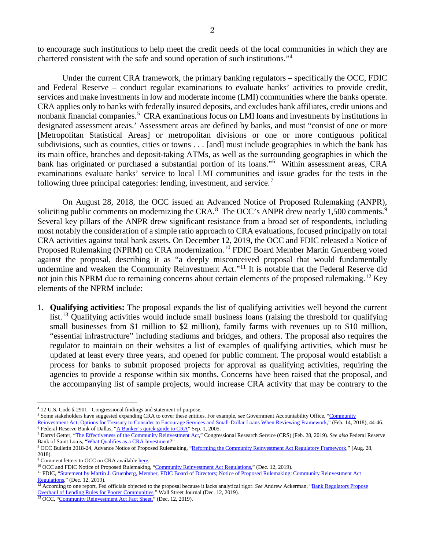to encourage such institutions to help meet the credit needs of the local communities in which they are chartered consistent with the safe and sound operation of such institutions."[4](#page-1-0)

Under the current CRA framework, the primary banking regulators – specifically the OCC, FDIC and Federal Reserve – conduct regular examinations to evaluate banks' activities to provide credit, services and make investments in low and moderate income (LMI) communities where the banks operate. CRA applies only to banks with federally insured deposits, and excludes bank affiliates, credit unions and nonbank financial companies.<sup>[5](#page-1-1)</sup> CRA examinations focus on LMI loans and investments by institutions in designated assessment areas.' Assessment areas are defined by banks, and must "consist of one or more [Metropolitan Statistical Areas] or metropolitan divisions or one or more contiguous political subdivisions, such as counties, cities or towns . . . [and] must include geographies in which the bank has its main office, branches and deposit-taking ATMs, as well as the surrounding geographies in which the bank has originated or purchased a substantial portion of its loans."<sup>[6](#page-1-2)</sup> Within assessment areas, CRA examinations evaluate banks' service to local LMI communities and issue grades for the tests in the following three principal categories: lending, investment, and service.[7](#page-1-3)

On August 28, 2018, the OCC issued an Advanced Notice of Proposed Rulemaking (ANPR), soliciting public comments on modernizing the CRA. $^8$  $^8$  The OCC's ANPR drew nearly 1,500 comments.<sup>[9](#page-1-5)</sup> Several key pillars of the ANPR drew significant resistance from a broad set of respondents, including most notably the consideration of a simple ratio approach to CRA evaluations, focused principally on total CRA activities against total bank assets. On December 12, 2019, the OCC and FDIC released a Notice of Proposed Rulemaking (NPRM) on CRA modernization.<sup>[10](#page-1-6)</sup> FDIC Board Member Martin Gruenberg voted against the proposal, describing it as "a deeply misconceived proposal that would fundamentally undermine and weaken the Community Reinvestment Act."<sup>[11](#page-1-7)</sup> It is notable that the Federal Reserve did not join this NPRM due to remaining concerns about certain elements of the proposed rulemaking.<sup>[12](#page-1-8)</sup> Key elements of the NPRM include:

1. **Qualifying activities:** The proposal expands the list of qualifying activities well beyond the current list.<sup>[13](#page-1-9)</sup> Qualifying activities would include small business loans (raising the threshold for qualifying small businesses from \$1 million to \$2 million), family farms with revenues up to \$10 million, "essential infrastructure" including stadiums and bridges, and others. The proposal also requires the regulator to maintain on their websites a list of examples of qualifying activities, which must be updated at least every three years, and opened for public comment. The proposal would establish a process for banks to submit proposed projects for approval as qualifying activities, requiring the agencies to provide a response within six months. Concerns have been raised that the proposal, and the accompanying list of sample projects, would increase CRA activity that may be contrary to the

 $\overline{a}$ 

<span id="page-1-0"></span><sup>4</sup> 12 U.S. Code § 2901 - Congressional findings and statement of purpose.

<span id="page-1-1"></span><sup>5</sup> Some stakeholders have suggested expanding CRA to cover these entities. For example, *see* Government Accountability Office, ["Community](https://www.gao.gov/products/GAO-18-244) 

<span id="page-1-2"></span>[Reinvestment Act: Options for Treasury to Consider to Encourage Services and Small-Dollar Loans When Reviewing Framework,](https://www.gao.gov/products/GAO-18-244)" (Feb. 14, 2018), 44-46. <sup>6</sup> Federal Reserve Bank of Dallas, ["A Banker's quick guide to CRA"](https://www.dallasfed.org/%7E/media/documents/cd/pubs/quickref.pdf) Sep. 1, 2005.

<span id="page-1-3"></span>**<sup>7</sup>** Darryl Getter, ["The Effectiveness of the Community Reinvestment Act,"](https://www.crs.gov/Reports/R43661) Congressional Research Service (CRS) (Feb. 28, 2019). *See also* Federal Reserve Bank of Saint Louis, ["What Qualifies as a CRA Investment?](https://www.stlouisfed.org/publications/central-banker/fall-1998/what-qualifies-as-a-cra-investment)"

<span id="page-1-4"></span><sup>&</sup>lt;sup>8</sup> OCC Bulletin 2018-24, Advance Notice of Proposed Rulemaking, ["Reforming the Community Reinvestment Act Regulatory Framework,](https://www.occ.gov/news-issuances/bulletins/2018/bulletin-2018-24.html)" (Aug. 28, 2018).

<span id="page-1-5"></span> $9$  Comment letters to OCC on CRA availabl[e here.](https://www.regulations.gov/docketBrowser?rpp=50&so=DESC&sb=postedDate&po=0&dct=PS&D=OCC-2018-0008)<br><sup>10</sup> OCC and FDIC Notice of Proposed Rulemaking, "Community Reinvestment Act Regulations," (Dec. 12, 2019).

<span id="page-1-7"></span><span id="page-1-6"></span><sup>&</sup>lt;sup>11</sup> FDIC, "Statement by Martin J. Gruenberg, Member, FDIC Board of Directors; Notice of Proposed Rulemaking: Community Reinvestment Act [Regulations,](https://www.fdic.gov/news/news/speeches/spdec1219d.html)" (Dec. 12, 2019).

<span id="page-1-8"></span><sup>&</sup>lt;sup>12</sup> According to one report, Fed officials objected to the proposal because it lacks analytical rigor. See Andrew Ackerman, "Bank Regulators Propose [Overhaul of Lending Rules for Poorer Communities,](https://www.wsj.com/articles/bank-regulators-propose-overhaul-of-lending-rules-for-poorer-communities-11576177437?mod=searchresults&page=1&pos=1)" Wall Street Journal (Dec. 12, 2019).

<span id="page-1-9"></span><sup>&</sup>lt;sup>13</sup> [OCC,](https://www.regulations.gov/docketBrowser?rpp=50&so=DESC&sb=postedDate&po=0&dct=PS&D=OCC-2018-0008) ["Community Reinvestment Act Fact Sheet,"](https://www.occ.gov/topics/consumers-and-communities/cra/cra-notice-of-proposed-rule-fact-sheet.pdf) (Dec. 12, 2019).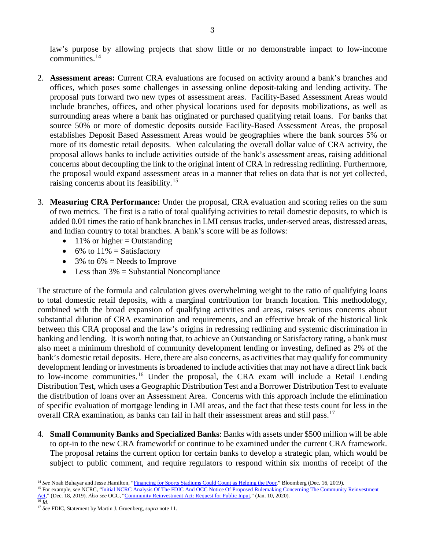law's purpose by allowing projects that show little or no demonstrable impact to low-income communities.[14](#page-2-0)

- 2. **Assessment areas:** Current CRA evaluations are focused on activity around a bank's branches and offices, which poses some challenges in assessing online deposit-taking and lending activity. The proposal puts forward two new types of assessment areas. Facility-Based Assessment Areas would include branches, offices, and other physical locations used for deposits mobilizations, as well as surrounding areas where a bank has originated or purchased qualifying retail loans. For banks that source 50% or more of domestic deposits outside Facility-Based Assessment Areas, the proposal establishes Deposit Based Assessment Areas would be geographies where the bank sources 5% or more of its domestic retail deposits. When calculating the overall dollar value of CRA activity, the proposal allows banks to include activities outside of the bank's assessment areas, raising additional concerns about decoupling the link to the original intent of CRA in redressing redlining. Furthermore, the proposal would expand assessment areas in a manner that relies on data that is not yet collected, raising concerns about its feasibility.<sup>[15](#page-2-1)</sup>
- 3. **Measuring CRA Performance:** Under the proposal, CRA evaluation and scoring relies on the sum of two metrics. The first is a ratio of total qualifying activities to retail domestic deposits, to which is added 0.01 times the ratio of bank branches in LMI census tracks, under-served areas, distressed areas, and Indian country to total branches. A bank's score will be as follows:
	- $11\%$  or higher = Outstanding
	- 6% to  $11\%$  = Satisfactory
	- 3% to  $6\%$  = Needs to Improve
	- Less than  $3\% =$  Substantial Noncompliance

The structure of the formula and calculation gives overwhelming weight to the ratio of qualifying loans to total domestic retail deposits, with a marginal contribution for branch location. This methodology, combined with the broad expansion of qualifying activities and areas, raises serious concerns about substantial dilution of CRA examination and requirements, and an effective break of the historical link between this CRA proposal and the law's origins in redressing redlining and systemic discrimination in banking and lending. It is worth noting that, to achieve an Outstanding or Satisfactory rating, a bank must also meet a minimum threshold of community development lending or investing, defined as 2% of the bank's domestic retail deposits. Here, there are also concerns, as activities that may qualify for community development lending or investments is broadened to include activities that may not have a direct link back to low-income communities.<sup>[16](#page-2-2)</sup> Under the proposal, the CRA exam will include a Retail Lending Distribution Test, which uses a Geographic Distribution Test and a Borrower Distribution Test to evaluate the distribution of loans over an Assessment Area. Concerns with this approach include the elimination of specific evaluation of mortgage lending in LMI areas, and the fact that these tests count for less in the overall CRA examination, as banks can fail in half their assessment areas and still pass.<sup>[17](#page-2-3)</sup>

- 4. **Small Community Banks and Specialized Banks**: Banks with assets under \$500 million will be able to opt-in to the new CRA frameworkf or continue to be examined under the current CRA framework. The proposal retains the current option for certain banks to develop a strategic plan, which would be subject to public comment, and require regulators to respond within six months of receipt of the
- <sup>14</sup> See Noah Buhayar and Jesse Hamilton, ["Financing for Sports Stadiums Could Count as Helping the Poor,"](https://www.bloomberg.com/news/articles/2019-12-16/banks-may-call-nfl-stadium-financing-aid-to-poor-in-rule-change) Bloomberg (Dec. 16, 2019).
- <span id="page-2-1"></span><span id="page-2-0"></span><sup>15</sup> For example, *see* NCRC, "<u>Initial NCRC Analysis Of The FDIC And OCC Notice Of Proposed Rulemaking Concerning The Community Reinvestment</u> [Act,"](https://ncrc.org/initial-ncrc-analysis-of-the-fdic-and-occ-notice-of-proposed-rulemaking-concerning-the-community-reinvestment-act/) (Dec. 18, 2019). *Also see* OCC, ["Community Reinvestment Act: Request for Public Input,](https://www.occ.gov/news-issuances/bulletins/2020/bulletin-2020-4.html)" (Jan. 10, 2020).  $\overline{^{16}$  *Id*.

<span id="page-2-3"></span><span id="page-2-2"></span><sup>17</sup> *See* FDIC, Statement by Martin J. Gruenberg, *supra* note 11.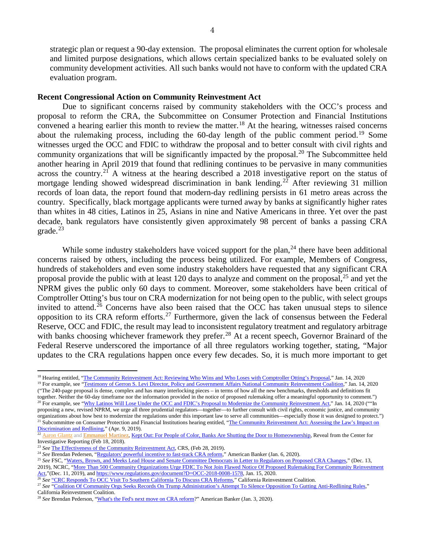strategic plan or request a 90-day extension. The proposal eliminates the current option for wholesale and limited purpose designations, which allows certain specialized banks to be evaluated solely on community development activities. All such banks would not have to conform with the updated CRA evaluation program.

#### **Recent Congressional Action on Community Reinvestment Act**

Due to significant concerns raised by community stakeholders with the OCC's process and proposal to reform the CRA, the Subcommittee on Consumer Protection and Financial Institutions convened a hearing earlier this month to review the matter. [18](#page-3-0) At the hearing, witnesses raised concerns about the rulemaking process, including the 60-day length of the public comment period.<sup>[19](#page-3-1)</sup> Some witnesses urged the OCC and FDIC to withdraw the proposal and to better consult with civil rights and community organizations that will be significantly impacted by the proposal.<sup>[20](#page-3-2)</sup> The Subcommittee held another hearing in April 2019 that found that redlining continues to be pervasive in many communities across the country.[21](#page-3-3) A witness at the hearing described a 2018 investigative report on the status of mortgage lending showed widespread discrimination in bank lending.<sup>[22](#page-3-4)</sup> After reviewing 31 million records of loan data, the report found that modern-day redlining persists in 61 metro areas across the country. Specifically, black mortgage applicants were turned away by banks at significantly higher rates than whites in 48 cities, Latinos in 25, Asians in nine and Native Americans in three. Yet over the past decade, bank regulators have consistently given approximately 98 percent of banks a passing CRA grade. $^{23}$  $^{23}$  $^{23}$ 

While some industry stakeholders have voiced support for the plan,  $^{24}$  $^{24}$  $^{24}$  there have been additional concerns raised by others, including the process being utilized. For example, Members of Congress, hundreds of stakeholders and even some industry stakeholders have requested that any significant CRA proposal provide the public with at least 120 days to analyze and comment on the proposal,  $^{25}$  $^{25}$  $^{25}$  and yet the NPRM gives the public only 60 days to comment. Moreover, some stakeholders have been critical of Comptroller Otting's bus tour on CRA modernization for not being open to the public, with select groups invited to attend.<sup>[26](#page-3-8)</sup> Concerns have also been raised that the OCC has taken unusual steps to silence opposition to its CRA reform efforts.<sup>[27](#page-3-9)</sup> Furthermore, given the lack of consensus between the Federal Reserve, OCC and FDIC, the result may lead to inconsistent regulatory treatment and regulatory arbitrage with banks choosing whichever framework they prefer.<sup>[28](#page-3-10)</sup> At a recent speech, Governor Brainard of the Federal Reserve underscored the importance of all three regulators working together, stating, "Major updates to the CRA regulations happen once every few decades. So, it is much more important to get

<span id="page-3-2"></span>together. Neither the 60-day timeframe nor the information provided in the notice of proposed rulemaking offer a meaningful opportunity to comment.") <sup>20</sup> For example, see ["Why Latinos Will Lose Under the OCC and FDIC's Proposal to Modernize the Community Reinvestment Act,"](https://financialservices.house.gov/uploadedfiles/hhrg-116-ba15-wstate-rodrigueze-20200114-u1.pdf) Jan. 14, 2020 (""In

<sup>23</sup> See [The Effectiveness of the Community Reinvestment Act,](https://crsreports.congress.gov/product/pdf/R/R43661) CRS, (Feb 28, 2019).

 $\overline{a}$ 

<span id="page-3-0"></span><sup>&</sup>lt;sup>18</sup> Hearing entitled, ["The Community Reinvestment Act: Reviewing Who Wins and Who Loses with Comptroller Otting's Proposal,](https://financialservices.house.gov/calendar/eventsingle.aspx?EventID=406025)" Jan. 14, 2020

<span id="page-3-1"></span><sup>&</sup>lt;sup>19</sup> For example, see ["Testimony of Gerron S. Levi Director, Policy and Government Affairs National Community Reinvestment Coalition,"](https://financialservices.house.gov/uploadedfiles/hhrg-116-ba15-wstate-levig-20200114.pdf) Jan. 14, 2020 ("The 240-page proposal is dense, complex and has many interlocking pieces – in terms of how all the new benchmarks, thresholds and definitions fit

proposing a new, revised NPRM, we urge all three prudential regulators—together—to further consult with civil rights, economic justice, and community organizations about how best to modernize the regulations under this important law to serve all communities—especially those it was designed to protect.") <sup>21</sup> Subcommittee on Consumer Protection and Financial Institutions hearing entitled, "The Community Reinvestment Act: Assessing the Law's Impact on [Discrimination and Redlining,](https://financialservices.house.gov/calendar/eventsingle.aspx?EventID=402505)" (Apr. 9, 2019).

<span id="page-3-4"></span><span id="page-3-3"></span><sup>&</sup>lt;sup>22</sup> [Aaron Glantz](https://www.revealnews.org/author/aaronglantz) and [Emmanuel Martinez,](https://www.revealnews.org/author/emmanuelmartinez) [Kept Out: For People of Color, Banks Are Shutting the Door to Homeownership,](https://www.revealnews.org/article/for-people-of-color-banks-are-shutting-the-door-to-homeownership) Reveal from the Center for Investigative Reporting (Feb 18, 2018).

<span id="page-3-6"></span><span id="page-3-5"></span><sup>&</sup>lt;sup>24</sup> See Brendan Pedersen, ["Regulators' powerful incentive to fast-track CRA reform,"](https://www.americanbanker.com/news/regulators-powerful-incentive-to-fast-track-cra-reform) American Banker (Jan. 6, 2020).

<span id="page-3-7"></span><sup>&</sup>lt;sup>25</sup> See FSC, ["Waters, Brown, and Meeks Lead House and Senate Committee Democrats in Letter to Regulators on Proposed CRA Changes,"](https://financialservices.house.gov/news/documentsingle.aspx?DocumentID=404958) (Dec. 13, 2019), NCRC, "More Than 500 Community Organizations Urge FDIC To Not Join Flawed Notice Of Proposed Rulemaking For Community Reinvestment [Act,"](https://ncrc.org/more-than-500-community-organizations-urge-fdic-to-not-join-flawed-notice-of-proposed-rulemaking-for-community-reinvestment-act/)(Dec. 11, 2019), and [https://www.regulations.gov/document?D=OCC-2018-0008-1578,](https://www.regulations.gov/document?D=OCC-2018-0008-1578) Jan. 15, 2020.

<span id="page-3-8"></span><sup>&</sup>lt;sup>26</sup> See ["CRC Responds To OCC Visit To Southern California To Discuss CRA Reforms,"](http://calreinvest.org/about/occ-otting-letter/) California Reinvestment Coalition.

<span id="page-3-9"></span><sup>&</sup>lt;sup>27</sup> See ["Coalition Of Community Orgs Seeks Records On Trump Administration's Attempt](http://calreinvest.org/press-release/coalition-of-community-orgs-seeks-records-on-trump-administrations-attempt-to-silence-opposition-to-gutting-anti-redlining-rules/) To Silence Opposition To Gutting Anti-Redlining Rules," California Reinvestment Coalition.

<span id="page-3-10"></span><sup>&</sup>lt;sup>28</sup> See Brendan Pederson, ["What's the Fed's next move on CRA reform?](https://www.americanbanker.com/news/whats-the-feds-next-move-on-cra-reform)" American Banker (Jan. 3, 2020).